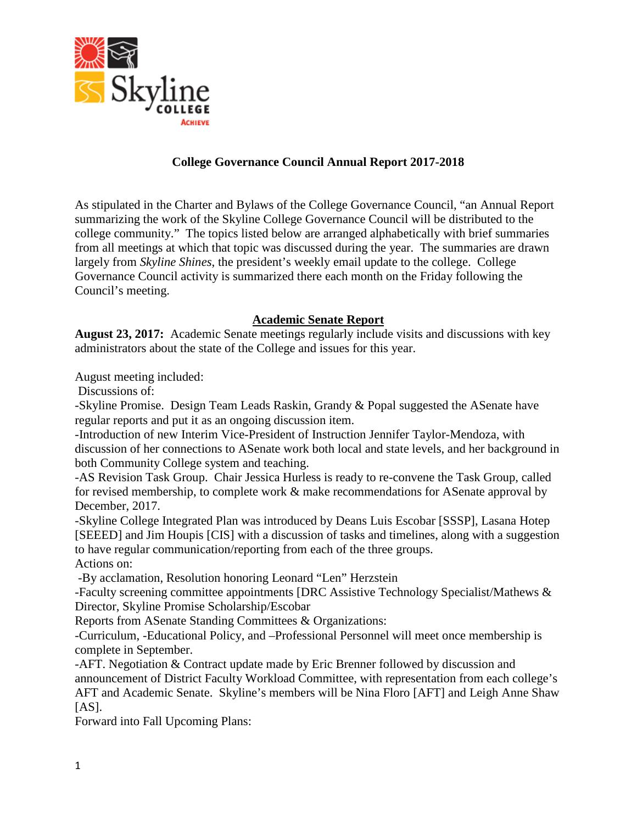

## **College Governance Council Annual Report 2017-2018**

As stipulated in the Charter and Bylaws of the College Governance Council, "an Annual Report summarizing the work of the Skyline College Governance Council will be distributed to the college community." The topics listed below are arranged alphabetically with brief summaries from all meetings at which that topic was discussed during the year. The summaries are drawn largely from *Skyline Shines*, the president's weekly email update to the college. College Governance Council activity is summarized there each month on the Friday following the Council's meeting.

## **Academic Senate Report**

**August 23, 2017:** Academic Senate meetings regularly include visits and discussions with key administrators about the state of the College and issues for this year.

August meeting included:

Discussions of:

-Skyline Promise. Design Team Leads Raskin, Grandy & Popal suggested the ASenate have regular reports and put it as an ongoing discussion item.

-Introduction of new Interim Vice-President of Instruction Jennifer Taylor-Mendoza, with discussion of her connections to ASenate work both local and state levels, and her background in both Community College system and teaching.

-AS Revision Task Group. Chair Jessica Hurless is ready to re-convene the Task Group, called for revised membership, to complete work & make recommendations for ASenate approval by December, 2017.

-Skyline College Integrated Plan was introduced by Deans Luis Escobar [SSSP], Lasana Hotep [SEEED] and Jim Houpis [CIS] with a discussion of tasks and timelines, along with a suggestion to have regular communication/reporting from each of the three groups. Actions on:

-By acclamation, Resolution honoring Leonard "Len" Herzstein

-Faculty screening committee appointments [DRC Assistive Technology Specialist/Mathews & Director, Skyline Promise Scholarship/Escobar

Reports from ASenate Standing Committees & Organizations:

-Curriculum, -Educational Policy, and –Professional Personnel will meet once membership is complete in September.

-AFT. Negotiation & Contract update made by Eric Brenner followed by discussion and announcement of District Faculty Workload Committee, with representation from each college's AFT and Academic Senate. Skyline's members will be Nina Floro [AFT] and Leigh Anne Shaw  $[AS]$ .

Forward into Fall Upcoming Plans: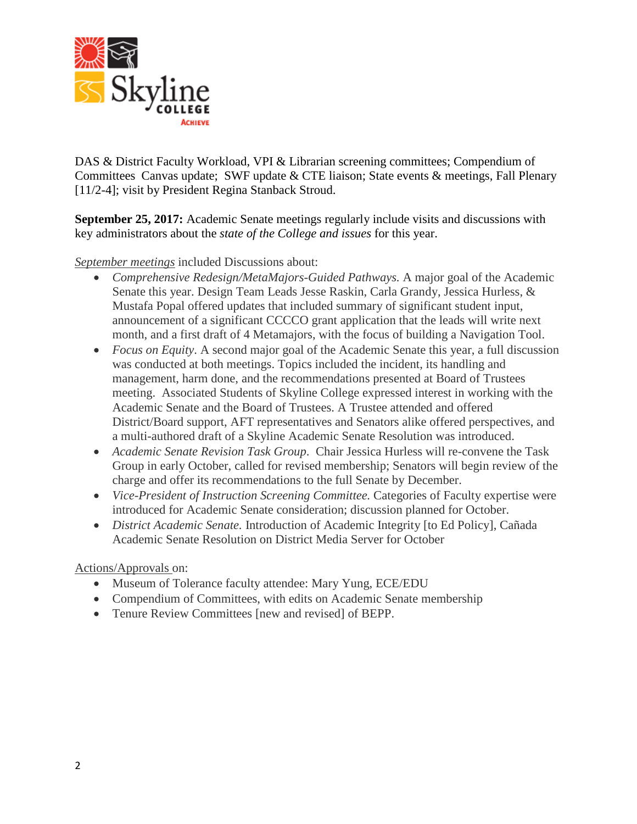

DAS & District Faculty Workload, VPI & Librarian screening committees; Compendium of Committees Canvas update; SWF update & CTE liaison; State events & meetings, Fall Plenary [11/2-4]; visit by President Regina Stanback Stroud.

**September 25, 2017:** Academic Senate meetings regularly include visits and discussions with key administrators about the *state of the College and issues* for this year.

*September meetings* included Discussions about:

- *Comprehensive Redesign/MetaMajors-Guided Pathways.* A major goal of the Academic Senate this year. Design Team Leads Jesse Raskin, Carla Grandy, Jessica Hurless, & Mustafa Popal offered updates that included summary of significant student input, announcement of a significant CCCCO grant application that the leads will write next month, and a first draft of 4 Metamajors, with the focus of building a Navigation Tool.
- *Focus on Equity*. A second major goal of the Academic Senate this year, a full discussion was conducted at both meetings. Topics included the incident, its handling and management, harm done, and the recommendations presented at Board of Trustees meeting. Associated Students of Skyline College expressed interest in working with the Academic Senate and the Board of Trustees. A Trustee attended and offered District/Board support, AFT representatives and Senators alike offered perspectives, and a multi-authored draft of a Skyline Academic Senate Resolution was introduced.
- *Academic Senate Revision Task Group*. Chair Jessica Hurless will re-convene the Task Group in early October, called for revised membership; Senators will begin review of the charge and offer its recommendations to the full Senate by December.
- *Vice-President of Instruction Screening Committee.* Categories of Faculty expertise were introduced for Academic Senate consideration; discussion planned for October.
- *District Academic Senate.* Introduction of Academic Integrity [to Ed Policy], Cañada Academic Senate Resolution on District Media Server for October

Actions/Approvals on:

- Museum of Tolerance faculty attendee: Mary Yung, ECE/EDU
- Compendium of Committees, with edits on Academic Senate membership
- Tenure Review Committees [new and revised] of BEPP.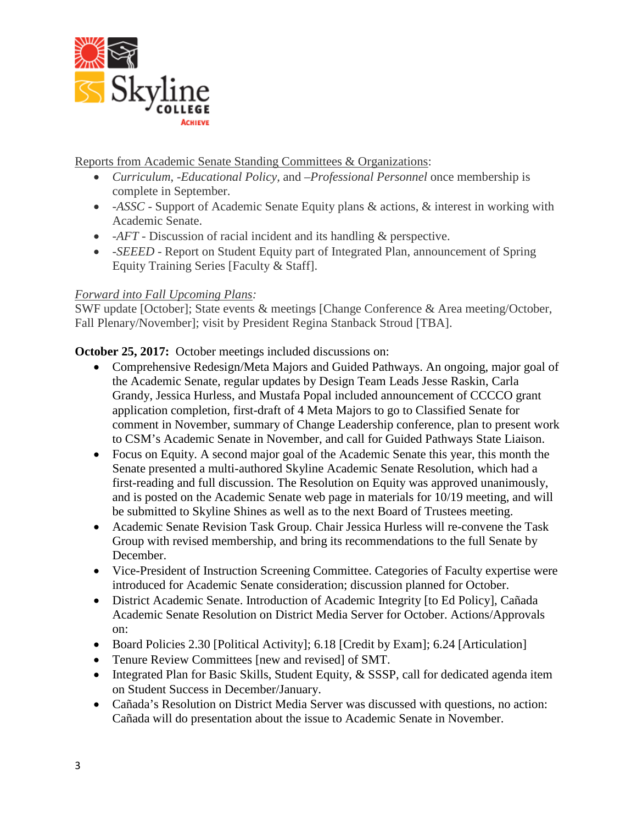

Reports from Academic Senate Standing Committees & Organizations:

- *Curriculum*, -*Educational Policy,* and *–Professional Personnel* once membership is complete in September.
- -*ASSC -* Support of Academic Senate Equity plans & actions, & interest in working with Academic Senate.
- *-AFT* Discussion of racial incident and its handling & perspective.
- -*SEEED* Report on Student Equity part of Integrated Plan, announcement of Spring Equity Training Series [Faculty & Staff].

# *Forward into Fall Upcoming Plans:*

SWF update [October]; State events & meetings [Change Conference & Area meeting/October, Fall Plenary/November]; visit by President Regina Stanback Stroud [TBA].

**October 25, 2017:** October meetings included discussions on:

- Comprehensive Redesign/Meta Majors and Guided Pathways. An ongoing, major goal of the Academic Senate, regular updates by Design Team Leads Jesse Raskin, Carla Grandy, Jessica Hurless, and Mustafa Popal included announcement of CCCCO grant application completion, first-draft of 4 Meta Majors to go to Classified Senate for comment in November, summary of Change Leadership conference, plan to present work to CSM's Academic Senate in November, and call for Guided Pathways State Liaison.
- Focus on Equity. A second major goal of the Academic Senate this year, this month the Senate presented a multi-authored Skyline Academic Senate Resolution, which had a first-reading and full discussion. The Resolution on Equity was approved unanimously, and is posted on the Academic Senate web page in materials for 10/19 meeting, and will be submitted to Skyline Shines as well as to the next Board of Trustees meeting.
- Academic Senate Revision Task Group. Chair Jessica Hurless will re-convene the Task Group with revised membership, and bring its recommendations to the full Senate by December.
- Vice-President of Instruction Screening Committee. Categories of Faculty expertise were introduced for Academic Senate consideration; discussion planned for October.
- District Academic Senate. Introduction of Academic Integrity [to Ed Policy], Cañada Academic Senate Resolution on District Media Server for October. Actions/Approvals on:
- Board Policies 2.30 [Political Activity]; 6.18 [Credit by Exam]; 6.24 [Articulation]
- Tenure Review Committees [new and revised] of SMT.
- Integrated Plan for Basic Skills, Student Equity, & SSSP, call for dedicated agenda item on Student Success in December/January.
- Cañada's Resolution on District Media Server was discussed with questions, no action: Cañada will do presentation about the issue to Academic Senate in November.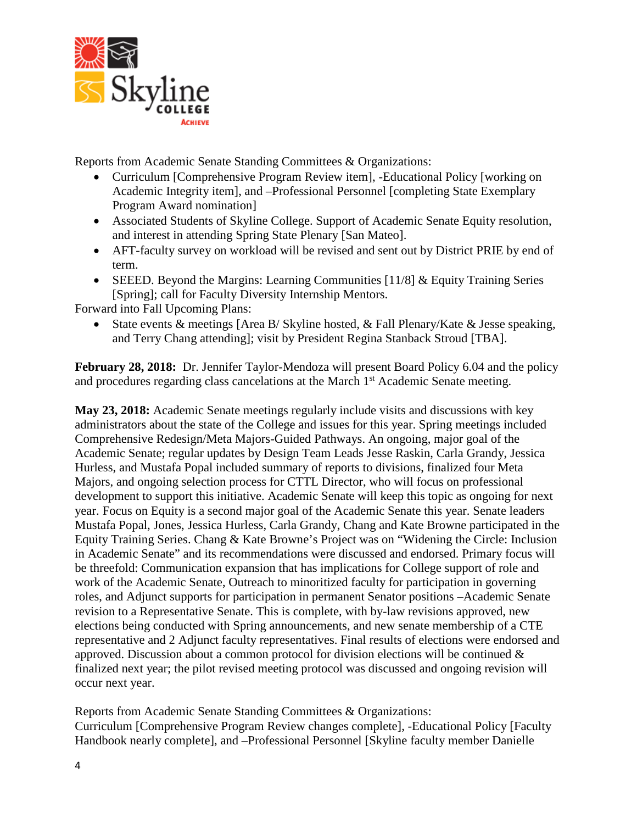

Reports from Academic Senate Standing Committees & Organizations:

- Curriculum [Comprehensive Program Review item], -Educational Policy [working on Academic Integrity item], and –Professional Personnel [completing State Exemplary Program Award nomination]
- Associated Students of Skyline College. Support of Academic Senate Equity resolution, and interest in attending Spring State Plenary [San Mateo].
- AFT-faculty survey on workload will be revised and sent out by District PRIE by end of term.
- SEEED. Beyond the Margins: Learning Communities  $[11/8]$  & Equity Training Series [Spring]; call for Faculty Diversity Internship Mentors.

Forward into Fall Upcoming Plans:

• State events & meetings [Area B/ Skyline hosted, & Fall Plenary/Kate & Jesse speaking, and Terry Chang attending]; visit by President Regina Stanback Stroud [TBA].

**February 28, 2018:** Dr. Jennifer Taylor-Mendoza will present Board Policy 6.04 and the policy and procedures regarding class cancelations at the March 1<sup>st</sup> Academic Senate meeting.

**May 23, 2018:** Academic Senate meetings regularly include visits and discussions with key administrators about the state of the College and issues for this year. Spring meetings included Comprehensive Redesign/Meta Majors-Guided Pathways. An ongoing, major goal of the Academic Senate; regular updates by Design Team Leads Jesse Raskin, Carla Grandy, Jessica Hurless, and Mustafa Popal included summary of reports to divisions, finalized four Meta Majors, and ongoing selection process for CTTL Director, who will focus on professional development to support this initiative. Academic Senate will keep this topic as ongoing for next year. Focus on Equity is a second major goal of the Academic Senate this year. Senate leaders Mustafa Popal, Jones, Jessica Hurless, Carla Grandy, Chang and Kate Browne participated in the Equity Training Series. Chang & Kate Browne's Project was on "Widening the Circle: Inclusion in Academic Senate" and its recommendations were discussed and endorsed. Primary focus will be threefold: Communication expansion that has implications for College support of role and work of the Academic Senate, Outreach to minoritized faculty for participation in governing roles, and Adjunct supports for participation in permanent Senator positions –Academic Senate revision to a Representative Senate. This is complete, with by-law revisions approved, new elections being conducted with Spring announcements, and new senate membership of a CTE representative and 2 Adjunct faculty representatives. Final results of elections were endorsed and approved. Discussion about a common protocol for division elections will be continued & finalized next year; the pilot revised meeting protocol was discussed and ongoing revision will occur next year.

Reports from Academic Senate Standing Committees & Organizations: Curriculum [Comprehensive Program Review changes complete], -Educational Policy [Faculty Handbook nearly complete], and –Professional Personnel [Skyline faculty member Danielle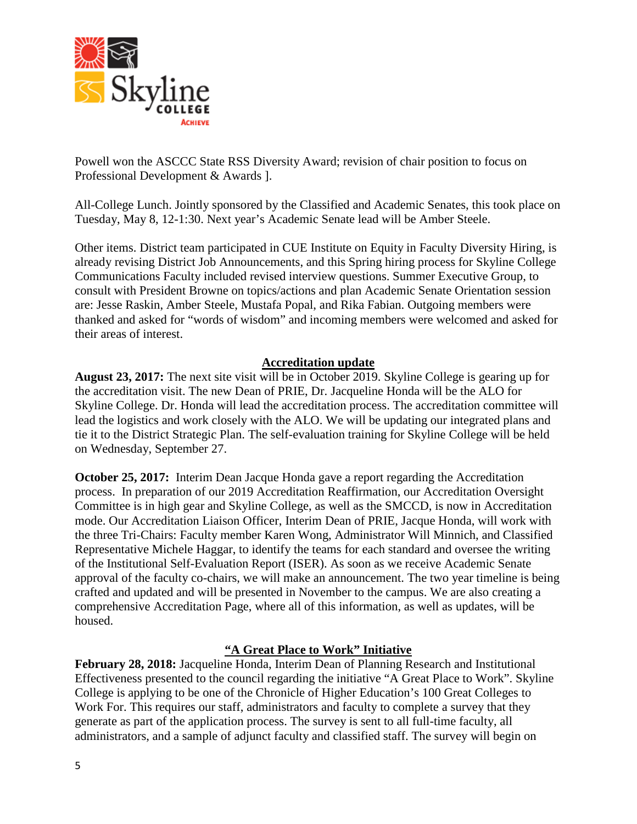

Powell won the ASCCC State RSS Diversity Award; revision of chair position to focus on Professional Development & Awards ].

All-College Lunch. Jointly sponsored by the Classified and Academic Senates, this took place on Tuesday, May 8, 12-1:30. Next year's Academic Senate lead will be Amber Steele.

Other items. District team participated in CUE Institute on Equity in Faculty Diversity Hiring, is already revising District Job Announcements, and this Spring hiring process for Skyline College Communications Faculty included revised interview questions. Summer Executive Group, to consult with President Browne on topics/actions and plan Academic Senate Orientation session are: Jesse Raskin, Amber Steele, Mustafa Popal, and Rika Fabian. Outgoing members were thanked and asked for "words of wisdom" and incoming members were welcomed and asked for their areas of interest.

## **Accreditation update**

**August 23, 2017:** The next site visit will be in October 2019. Skyline College is gearing up for the accreditation visit. The new Dean of PRIE, Dr. Jacqueline Honda will be the ALO for Skyline College. Dr. Honda will lead the accreditation process. The accreditation committee will lead the logistics and work closely with the ALO. We will be updating our integrated plans and tie it to the District Strategic Plan. The self-evaluation training for Skyline College will be held on Wednesday, September 27.

**October 25, 2017:** Interim Dean Jacque Honda gave a report regarding the Accreditation process. In preparation of our 2019 Accreditation Reaffirmation, our Accreditation Oversight Committee is in high gear and Skyline College, as well as the SMCCD, is now in Accreditation mode. Our Accreditation Liaison Officer, Interim Dean of PRIE, Jacque Honda, will work with the three Tri-Chairs: Faculty member Karen Wong, Administrator Will Minnich, and Classified Representative Michele Haggar, to identify the teams for each standard and oversee the writing of the Institutional Self-Evaluation Report (ISER). As soon as we receive Academic Senate approval of the faculty co-chairs, we will make an announcement. The two year timeline is being crafted and updated and will be presented in November to the campus. We are also creating a comprehensive Accreditation Page, where all of this information, as well as updates, will be housed.

## **"A Great Place to Work" Initiative**

**February 28, 2018:** Jacqueline Honda, Interim Dean of Planning Research and Institutional Effectiveness presented to the council regarding the initiative "A Great Place to Work". Skyline College is applying to be one of the Chronicle of Higher Education's 100 Great Colleges to Work For. This requires our staff, administrators and faculty to complete a survey that they generate as part of the application process. The survey is sent to all full-time faculty, all administrators, and a sample of adjunct faculty and classified staff. The survey will begin on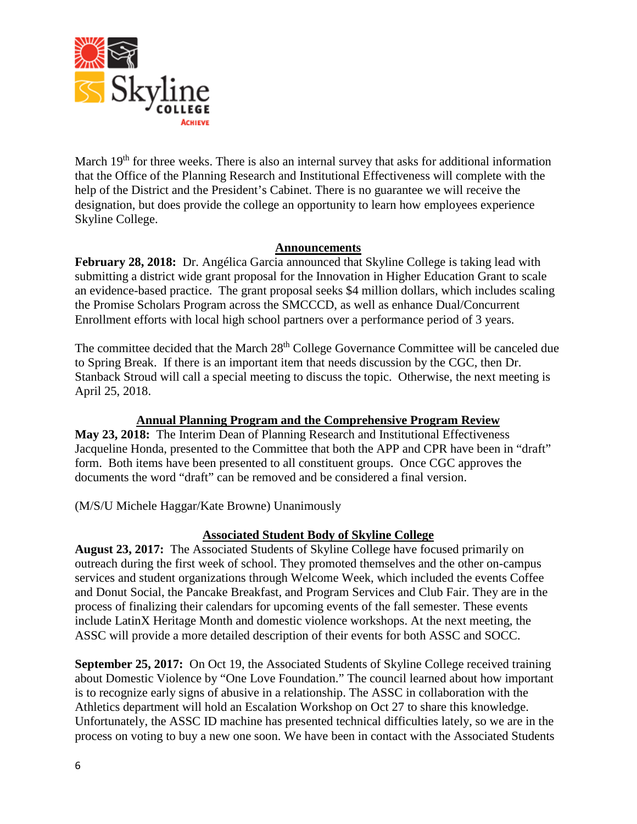

March  $19<sup>th</sup>$  for three weeks. There is also an internal survey that asks for additional information that the Office of the Planning Research and Institutional Effectiveness will complete with the help of the District and the President's Cabinet. There is no guarantee we will receive the designation, but does provide the college an opportunity to learn how employees experience Skyline College.

### **Announcements**

**February 28, 2018:** Dr. Angélica Garcia announced that Skyline College is taking lead with submitting a district wide grant proposal for the Innovation in Higher Education Grant to scale an evidence-based practice. The grant proposal seeks \$4 million dollars, which includes scaling the Promise Scholars Program across the SMCCCD, as well as enhance Dual/Concurrent Enrollment efforts with local high school partners over a performance period of 3 years.

The committee decided that the March 28<sup>th</sup> College Governance Committee will be canceled due to Spring Break. If there is an important item that needs discussion by the CGC, then Dr. Stanback Stroud will call a special meeting to discuss the topic. Otherwise, the next meeting is April 25, 2018.

## **Annual Planning Program and the Comprehensive Program Review**

**May 23, 2018:** The Interim Dean of Planning Research and Institutional Effectiveness Jacqueline Honda, presented to the Committee that both the APP and CPR have been in "draft" form. Both items have been presented to all constituent groups. Once CGC approves the documents the word "draft" can be removed and be considered a final version.

(M/S/U Michele Haggar/Kate Browne) Unanimously

## **Associated Student Body of Skyline College**

**August 23, 2017:** The Associated Students of Skyline College have focused primarily on outreach during the first week of school. They promoted themselves and the other on-campus services and student organizations through Welcome Week, which included the events Coffee and Donut Social, the Pancake Breakfast, and Program Services and Club Fair. They are in the process of finalizing their calendars for upcoming events of the fall semester. These events include LatinX Heritage Month and domestic violence workshops. At the next meeting, the ASSC will provide a more detailed description of their events for both ASSC and SOCC.

**September 25, 2017:** On Oct 19, the Associated Students of Skyline College received training about Domestic Violence by "One Love Foundation." The council learned about how important is to recognize early signs of abusive in a relationship. The ASSC in collaboration with the Athletics department will hold an Escalation Workshop on Oct 27 to share this knowledge. Unfortunately, the ASSC ID machine has presented technical difficulties lately, so we are in the process on voting to buy a new one soon. We have been in contact with the Associated Students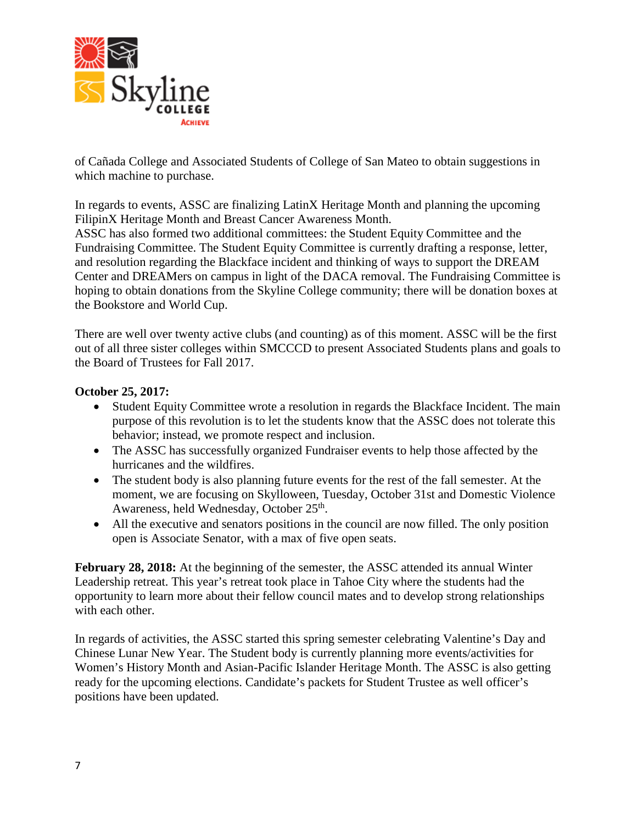

of Cañada College and Associated Students of College of San Mateo to obtain suggestions in which machine to purchase.

In regards to events, ASSC are finalizing LatinX Heritage Month and planning the upcoming FilipinX Heritage Month and Breast Cancer Awareness Month.

ASSC has also formed two additional committees: the Student Equity Committee and the Fundraising Committee. The Student Equity Committee is currently drafting a response, letter, and resolution regarding the Blackface incident and thinking of ways to support the DREAM Center and DREAMers on campus in light of the DACA removal. The Fundraising Committee is hoping to obtain donations from the Skyline College community; there will be donation boxes at the Bookstore and World Cup.

There are well over twenty active clubs (and counting) as of this moment. ASSC will be the first out of all three sister colleges within SMCCCD to present Associated Students plans and goals to the Board of Trustees for Fall 2017.

## **October 25, 2017:**

- Student Equity Committee wrote a resolution in regards the Blackface Incident. The main purpose of this revolution is to let the students know that the ASSC does not tolerate this behavior; instead, we promote respect and inclusion.
- The ASSC has successfully organized Fundraiser events to help those affected by the hurricanes and the wildfires.
- The student body is also planning future events for the rest of the fall semester. At the moment, we are focusing on Skylloween, Tuesday, October 31st and Domestic Violence Awareness, held Wednesday, October 25<sup>th</sup>.
- All the executive and senators positions in the council are now filled. The only position open is Associate Senator, with a max of five open seats.

**February 28, 2018:** At the beginning of the semester, the ASSC attended its annual Winter Leadership retreat. This year's retreat took place in Tahoe City where the students had the opportunity to learn more about their fellow council mates and to develop strong relationships with each other.

In regards of activities, the ASSC started this spring semester celebrating Valentine's Day and Chinese Lunar New Year. The Student body is currently planning more events/activities for Women's History Month and Asian-Pacific Islander Heritage Month. The ASSC is also getting ready for the upcoming elections. Candidate's packets for Student Trustee as well officer's positions have been updated.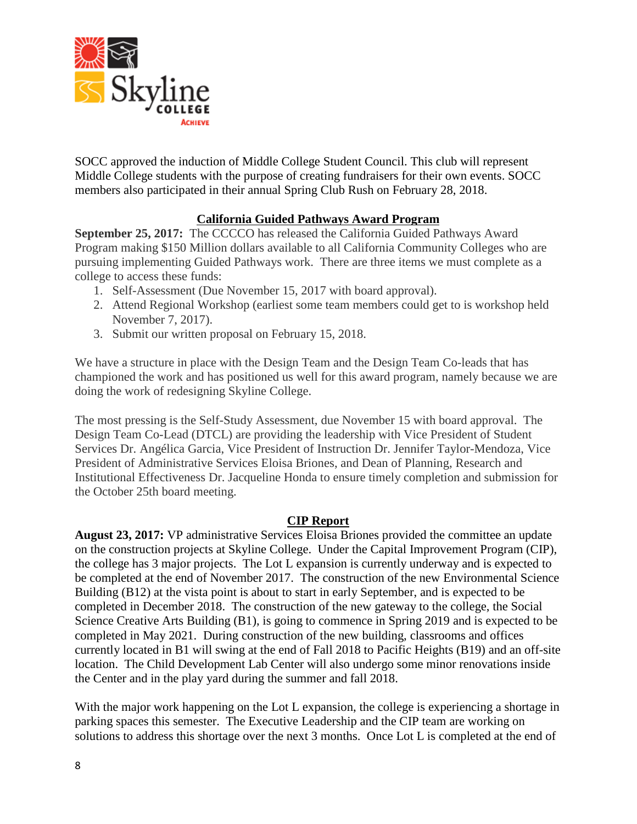

SOCC approved the induction of Middle College Student Council. This club will represent Middle College students with the purpose of creating fundraisers for their own events. SOCC members also participated in their annual Spring Club Rush on February 28, 2018.

## **California Guided Pathways Award Program**

**September 25, 2017:** The CCCCO has released the California Guided Pathways Award Program making \$150 Million dollars available to all California Community Colleges who are pursuing implementing Guided Pathways work. There are three items we must complete as a college to access these funds:

- 1. Self-Assessment (Due November 15, 2017 with board approval).
- 2. Attend Regional Workshop (earliest some team members could get to is workshop held November 7, 2017).
- 3. Submit our written proposal on February 15, 2018.

We have a structure in place with the Design Team and the Design Team Co-leads that has championed the work and has positioned us well for this award program, namely because we are doing the work of redesigning Skyline College.

The most pressing is the Self-Study Assessment, due November 15 with board approval. The Design Team Co-Lead (DTCL) are providing the leadership with Vice President of Student Services Dr. Angélica Garcia, Vice President of Instruction Dr. Jennifer Taylor-Mendoza, Vice President of Administrative Services Eloisa Briones, and Dean of Planning, Research and Institutional Effectiveness Dr. Jacqueline Honda to ensure timely completion and submission for the October 25th board meeting.

### **CIP Report**

**August 23, 2017:** VP administrative Services Eloisa Briones provided the committee an update on the construction projects at Skyline College. Under the Capital Improvement Program (CIP), the college has 3 major projects. The Lot L expansion is currently underway and is expected to be completed at the end of November 2017. The construction of the new Environmental Science Building (B12) at the vista point is about to start in early September, and is expected to be completed in December 2018. The construction of the new gateway to the college, the Social Science Creative Arts Building (B1), is going to commence in Spring 2019 and is expected to be completed in May 2021. During construction of the new building, classrooms and offices currently located in B1 will swing at the end of Fall 2018 to Pacific Heights (B19) and an off-site location. The Child Development Lab Center will also undergo some minor renovations inside the Center and in the play yard during the summer and fall 2018.

With the major work happening on the Lot L expansion, the college is experiencing a shortage in parking spaces this semester. The Executive Leadership and the CIP team are working on solutions to address this shortage over the next 3 months. Once Lot L is completed at the end of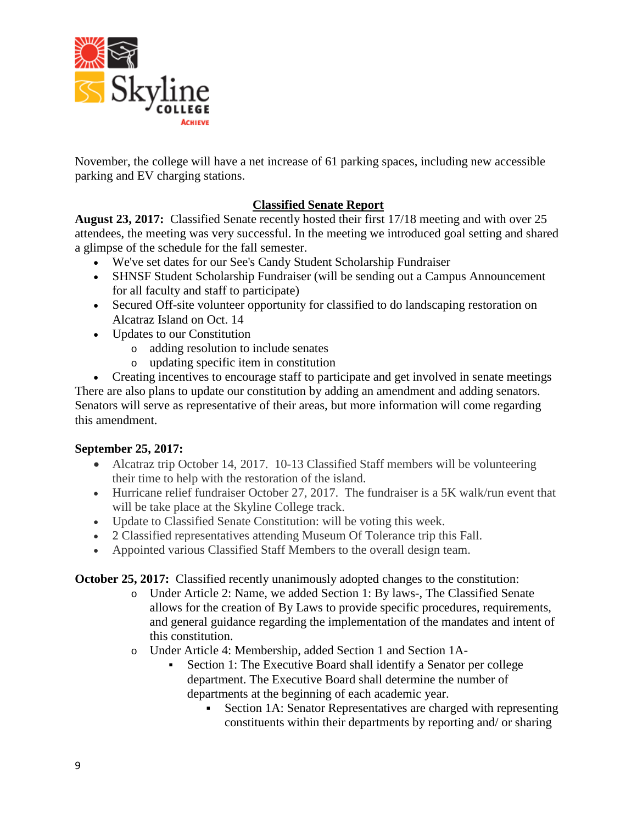

November, the college will have a net increase of 61 parking spaces, including new accessible parking and EV charging stations.

## **Classified Senate Report**

**August 23, 2017:** Classified Senate recently hosted their first 17/18 meeting and with over 25 attendees, the meeting was very successful. In the meeting we introduced goal setting and shared a glimpse of the schedule for the fall semester.

- We've set dates for our See's Candy Student Scholarship Fundraiser
- SHNSF Student Scholarship Fundraiser (will be sending out a Campus Announcement for all faculty and staff to participate)
- Secured Off-site volunteer opportunity for classified to do landscaping restoration on Alcatraz Island on Oct. 14
- Updates to our Constitution
	- o adding resolution to include senates
	- o updating specific item in constitution

• Creating incentives to encourage staff to participate and get involved in senate meetings There are also plans to update our constitution by adding an amendment and adding senators. Senators will serve as representative of their areas, but more information will come regarding this amendment.

## **September 25, 2017:**

- Alcatraz trip October 14, 2017. 10-13 Classified Staff members will be volunteering their time to help with the restoration of the island.
- Hurricane relief fundraiser October 27, 2017. The fundraiser is a 5K walk/run event that will be take place at the Skyline College track.
- Update to Classified Senate Constitution: will be voting this week.
- 2 Classified representatives attending Museum Of Tolerance trip this Fall.
- Appointed various Classified Staff Members to the overall design team.

**October 25, 2017:** Classified recently unanimously adopted changes to the constitution:

- o Under Article 2: Name, we added Section 1: By laws-, The Classified Senate allows for the creation of By Laws to provide specific procedures, requirements, and general guidance regarding the implementation of the mandates and intent of this constitution.
- o Under Article 4: Membership, added Section 1 and Section 1A-
	- Section 1: The Executive Board shall identify a Senator per college department. The Executive Board shall determine the number of departments at the beginning of each academic year.
		- Section 1A: Senator Representatives are charged with representing constituents within their departments by reporting and/ or sharing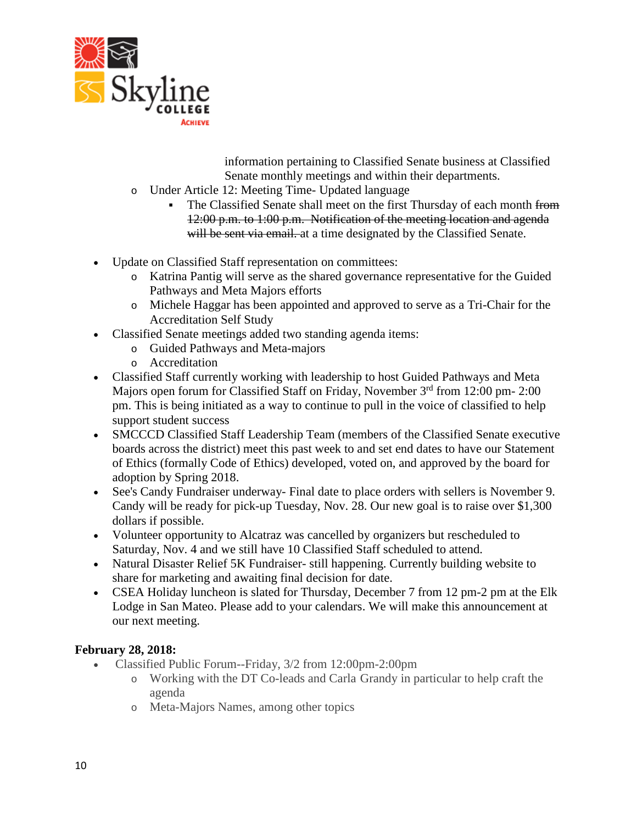

information pertaining to Classified Senate business at Classified Senate monthly meetings and within their departments.

- o Under Article 12: Meeting Time- Updated language
	- The Classified Senate shall meet on the first Thursday of each month from 12:00 p.m. to 1:00 p.m. Notification of the meeting location and agenda will be sent via email. at a time designated by the Classified Senate.
- Update on Classified Staff representation on committees:
	- o Katrina Pantig will serve as the shared governance representative for the Guided Pathways and Meta Majors efforts
	- o Michele Haggar has been appointed and approved to serve as a Tri-Chair for the Accreditation Self Study
- Classified Senate meetings added two standing agenda items:
	- o Guided Pathways and Meta-majors
	- o Accreditation
- Classified Staff currently working with leadership to host Guided Pathways and Meta Majors open forum for Classified Staff on Friday, November 3<sup>rd</sup> from 12:00 pm- 2:00 pm. This is being initiated as a way to continue to pull in the voice of classified to help support student success
- SMCCCD Classified Staff Leadership Team (members of the Classified Senate executive boards across the district) meet this past week to and set end dates to have our Statement of Ethics (formally Code of Ethics) developed, voted on, and approved by the board for adoption by Spring 2018.
- See's Candy Fundraiser underway- Final date to place orders with sellers is November 9. Candy will be ready for pick-up Tuesday, Nov. 28. Our new goal is to raise over \$1,300 dollars if possible.
- Volunteer opportunity to Alcatraz was cancelled by organizers but rescheduled to Saturday, Nov. 4 and we still have 10 Classified Staff scheduled to attend.
- Natural Disaster Relief 5K Fundraiser- still happening. Currently building website to share for marketing and awaiting final decision for date.
- CSEA Holiday luncheon is slated for Thursday, December 7 from 12 pm-2 pm at the Elk Lodge in San Mateo. Please add to your calendars. We will make this announcement at our next meeting.

## **February 28, 2018:**

- Classified Public Forum--Friday, 3/2 from 12:00pm-2:00pm
	- o Working with the DT Co-leads and Carla Grandy in particular to help craft the agenda
	- o Meta-Majors Names, among other topics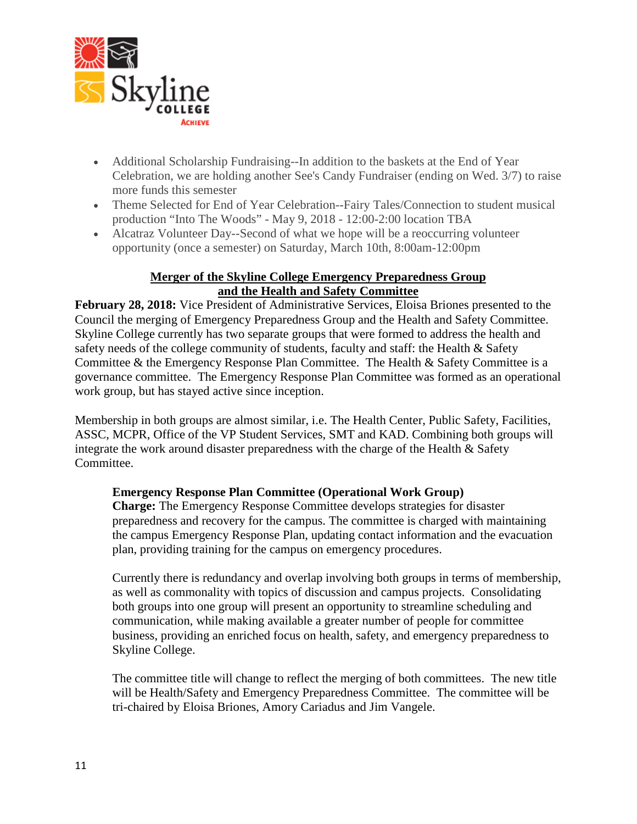

- Additional Scholarship Fundraising--In addition to the baskets at the End of Year Celebration, we are holding another See's Candy Fundraiser (ending on Wed. 3/7) to raise more funds this semester
- Theme Selected for End of Year Celebration--Fairy Tales/Connection to student musical production "Into The Woods" - May 9, 2018 - 12:00-2:00 location TBA
- Alcatraz Volunteer Day--Second of what we hope will be a reoccurring volunteer opportunity (once a semester) on Saturday, March 10th, 8:00am-12:00pm

### **Merger of the Skyline College Emergency Preparedness Group and the Health and Safety Committee**

**February 28, 2018:** Vice President of Administrative Services, Eloisa Briones presented to the Council the merging of Emergency Preparedness Group and the Health and Safety Committee. Skyline College currently has two separate groups that were formed to address the health and safety needs of the college community of students, faculty and staff: the Health & Safety Committee & the Emergency Response Plan Committee. The Health & Safety Committee is a governance committee. The Emergency Response Plan Committee was formed as an operational work group, but has stayed active since inception.

Membership in both groups are almost similar, i.e. The Health Center, Public Safety, Facilities, ASSC, MCPR, Office of the VP Student Services, SMT and KAD. Combining both groups will integrate the work around disaster preparedness with the charge of the Health & Safety Committee.

## **Emergency Response Plan Committee (Operational Work Group)**

**Charge:** The Emergency Response Committee develops strategies for disaster preparedness and recovery for the campus. The committee is charged with maintaining the campus Emergency Response Plan, updating contact information and the evacuation plan, providing training for the campus on emergency procedures.

Currently there is redundancy and overlap involving both groups in terms of membership, as well as commonality with topics of discussion and campus projects. Consolidating both groups into one group will present an opportunity to streamline scheduling and communication, while making available a greater number of people for committee business, providing an enriched focus on health, safety, and emergency preparedness to Skyline College.

The committee title will change to reflect the merging of both committees. The new title will be Health/Safety and Emergency Preparedness Committee. The committee will be tri-chaired by Eloisa Briones, Amory Cariadus and Jim Vangele.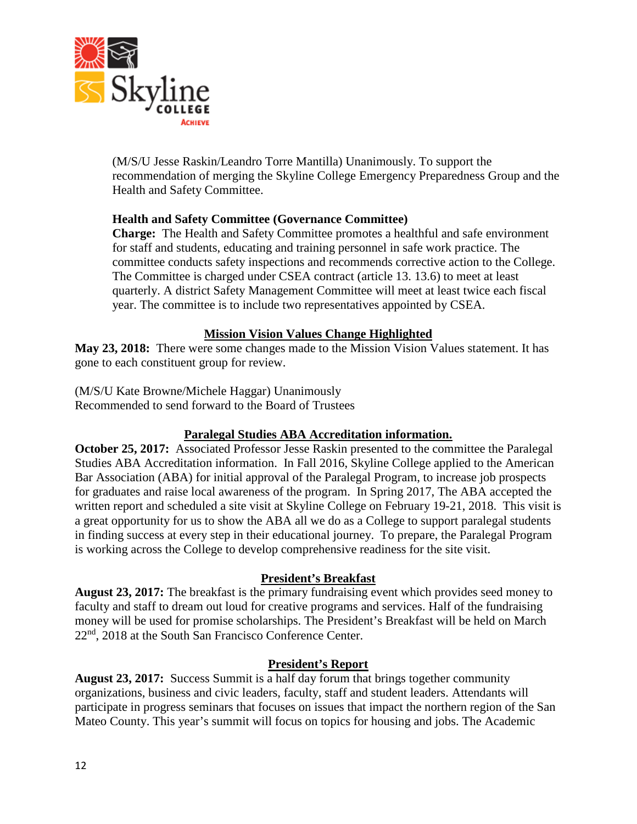

(M/S/U Jesse Raskin/Leandro Torre Mantilla) Unanimously. To support the recommendation of merging the Skyline College Emergency Preparedness Group and the Health and Safety Committee.

### **Health and Safety Committee (Governance Committee)**

**Charge:** The Health and Safety Committee promotes a healthful and safe environment for staff and students, educating and training personnel in safe work practice. The committee conducts safety inspections and recommends corrective action to the College. The Committee is charged under CSEA contract (article 13. 13.6) to meet at least quarterly. A district Safety Management Committee will meet at least twice each fiscal year. The committee is to include two representatives appointed by CSEA.

### **Mission Vision Values Change Highlighted**

**May 23, 2018:** There were some changes made to the Mission Vision Values statement. It has gone to each constituent group for review.

(M/S/U Kate Browne/Michele Haggar) Unanimously Recommended to send forward to the Board of Trustees

## **Paralegal Studies ABA Accreditation information.**

**October 25, 2017:** Associated Professor Jesse Raskin presented to the committee the Paralegal Studies ABA Accreditation information. In Fall 2016, Skyline College applied to the American Bar Association (ABA) for initial approval of the Paralegal Program, to increase job prospects for graduates and raise local awareness of the program. In Spring 2017, The ABA accepted the written report and scheduled a site visit at Skyline College on February 19-21, 2018. This visit is a great opportunity for us to show the ABA all we do as a College to support paralegal students in finding success at every step in their educational journey. To prepare, the Paralegal Program is working across the College to develop comprehensive readiness for the site visit.

### **President's Breakfast**

**August 23, 2017:** The breakfast is the primary fundraising event which provides seed money to faculty and staff to dream out loud for creative programs and services. Half of the fundraising money will be used for promise scholarships. The President's Breakfast will be held on March 22nd, 2018 at the South San Francisco Conference Center.

### **President's Report**

**August 23, 2017:** Success Summit is a half day forum that brings together community organizations, business and civic leaders, faculty, staff and student leaders. Attendants will participate in progress seminars that focuses on issues that impact the northern region of the San Mateo County. This year's summit will focus on topics for housing and jobs. The Academic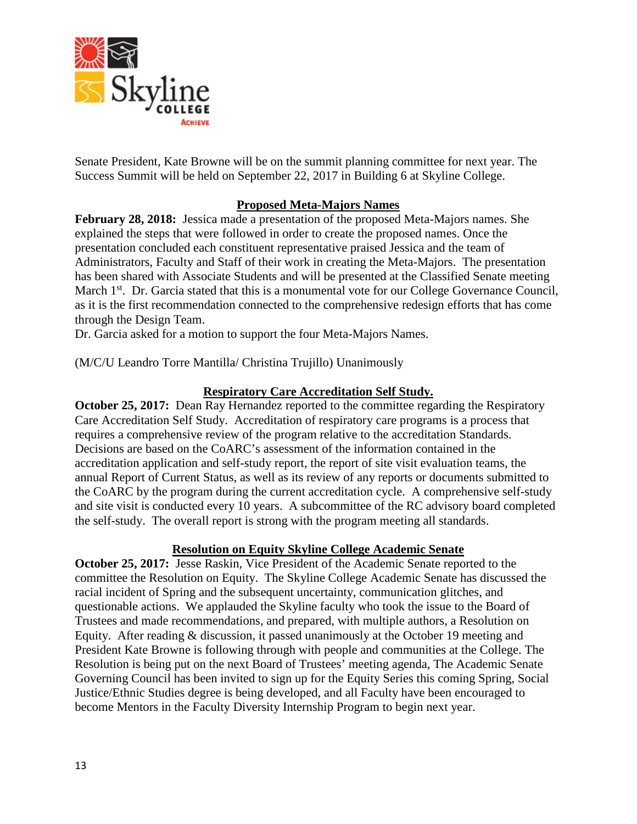

Senate President, Kate Browne will be on the summit planning committee for next year. The Success Summit will be held on September 22, 2017 in Building 6 at Skyline College.

## **Proposed Meta-Majors Names**

**February 28, 2018:** Jessica made a presentation of the proposed Meta-Majors names. She explained the steps that were followed in order to create the proposed names. Once the presentation concluded each constituent representative praised Jessica and the team of Administrators, Faculty and Staff of their work in creating the Meta-Majors. The presentation has been shared with Associate Students and will be presented at the Classified Senate meeting March 1<sup>st</sup>. Dr. Garcia stated that this is a monumental vote for our College Governance Council, as it is the first recommendation connected to the comprehensive redesign efforts that has come through the Design Team.

Dr. Garcia asked for a motion to support the four Meta-Majors Names.

(M/C/U Leandro Torre Mantilla/ Christina Trujillo) Unanimously

### **Respiratory Care Accreditation Self Study.**

**October 25, 2017:** Dean Ray Hernandez reported to the committee regarding the Respiratory Care Accreditation Self Study. Accreditation of respiratory care programs is a process that requires a comprehensive review of the program relative to the accreditation Standards. Decisions are based on the CoARC's assessment of the information contained in the accreditation application and self-study report, the report of site visit evaluation teams, the annual Report of Current Status, as well as its review of any reports or documents submitted to the CoARC by the program during the current accreditation cycle. A comprehensive self-study and site visit is conducted every 10 years. A subcommittee of the RC advisory board completed the self-study. The overall report is strong with the program meeting all standards.

## **Resolution on Equity Skyline College Academic Senate**

**October 25, 2017:** Jesse Raskin, Vice President of the Academic Senate reported to the committee the Resolution on Equity. The Skyline College Academic Senate has discussed the racial incident of Spring and the subsequent uncertainty, communication glitches, and questionable actions. We applauded the Skyline faculty who took the issue to the Board of Trustees and made recommendations, and prepared, with multiple authors, a Resolution on Equity. After reading & discussion, it passed unanimously at the October 19 meeting and President Kate Browne is following through with people and communities at the College. The Resolution is being put on the next Board of Trustees' meeting agenda, The Academic Senate Governing Council has been invited to sign up for the Equity Series this coming Spring, Social Justice/Ethnic Studies degree is being developed, and all Faculty have been encouraged to become Mentors in the Faculty Diversity Internship Program to begin next year.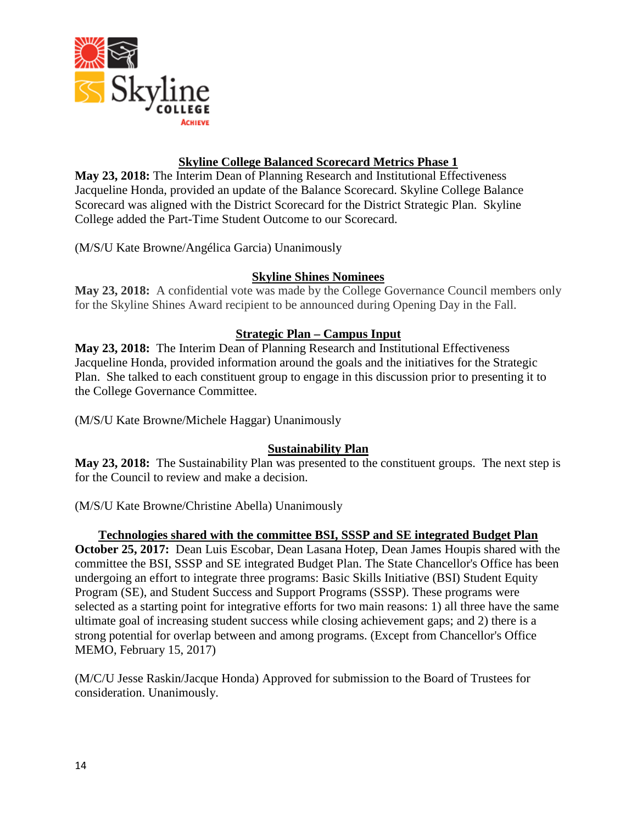

## **Skyline College Balanced Scorecard Metrics Phase 1**

**May 23, 2018:** The Interim Dean of Planning Research and Institutional Effectiveness Jacqueline Honda, provided an update of the Balance Scorecard. Skyline College Balance Scorecard was aligned with the District Scorecard for the District Strategic Plan. Skyline College added the Part-Time Student Outcome to our Scorecard.

(M/S/U Kate Browne/Angélica Garcia) Unanimously

### **Skyline Shines Nominees**

**May 23, 2018:** A confidential vote was made by the College Governance Council members only for the Skyline Shines Award recipient to be announced during Opening Day in the Fall.

## **Strategic Plan – Campus Input**

**May 23, 2018:** The Interim Dean of Planning Research and Institutional Effectiveness Jacqueline Honda, provided information around the goals and the initiatives for the Strategic Plan. She talked to each constituent group to engage in this discussion prior to presenting it to the College Governance Committee.

(M/S/U Kate Browne/Michele Haggar) Unanimously

## **Sustainability Plan**

**May 23, 2018:** The Sustainability Plan was presented to the constituent groups. The next step is for the Council to review and make a decision.

(M/S/U Kate Browne/Christine Abella) Unanimously

### **Technologies shared with the committee BSI, SSSP and SE integrated Budget Plan**

**October 25, 2017:** Dean Luis Escobar, Dean Lasana Hotep, Dean James Houpis shared with the committee the BSI, SSSP and SE integrated Budget Plan. The State Chancellor's Office has been undergoing an effort to integrate three programs: Basic Skills Initiative (BSI) Student Equity Program (SE), and Student Success and Support Programs (SSSP). These programs were selected as a starting point for integrative efforts for two main reasons: 1) all three have the same ultimate goal of increasing student success while closing achievement gaps; and 2) there is a strong potential for overlap between and among programs. (Except from Chancellor's Office MEMO, February 15, 2017)

(M/C/U Jesse Raskin/Jacque Honda) Approved for submission to the Board of Trustees for consideration. Unanimously.